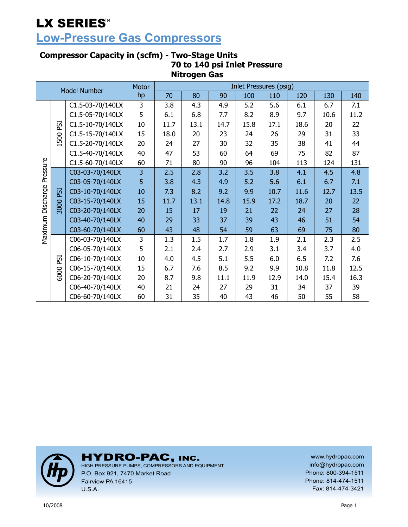# **Low-Pressure Gas Compressors**

### **Compressor Capacity in (scfm) - Two-Stage Units 70 to 140 psi Inlet Pressure Nitrogen Gas**

| <b>Model Number</b>   |             | <b>Motor</b>     |    |      |      |      | <b>Inlet Pressures (psig)</b> |      |      |      |      |
|-----------------------|-------------|------------------|----|------|------|------|-------------------------------|------|------|------|------|
|                       |             |                  | hp | 70   | 80   | 90   | 100                           | 110  | 120  | 130  | 140  |
|                       |             | C1.5-03-70/140LX | 3  | 3.8  | 4.3  | 4.9  | 5.2                           | 5.6  | 6.1  | 6.7  | 7.1  |
|                       |             | C1.5-05-70/140LX | 5  | 6.1  | 6.8  | 7.7  | 8.2                           | 8.9  | 9.7  | 10.6 | 11.2 |
|                       | ESI         | C1.5-10-70/140LX | 10 | 11.7 | 13.1 | 14.7 | 15.8                          | 17.1 | 18.6 | 20   | 22   |
|                       | 500         | C1.5-15-70/140LX | 15 | 18.0 | 20   | 23   | 24                            | 26   | 29   | 31   | 33   |
|                       |             | C1.5-20-70/140LX | 20 | 24   | 27   | 30   | 32                            | 35   | 38   | 41   | 44   |
|                       |             | C1.5-40-70/140LX | 40 | 47   | 53   | 60   | 64                            | 69   | 75   | 82   | 87   |
|                       |             | C1.5-60-70/140LX | 60 | 71   | 80   | 90   | 96                            | 104  | 113  | 124  | 131  |
| Pressure<br>Discharge |             | C03-03-70/140LX  | 3  | 2.5  | 2.8  | 3.2  | 3.5                           | 3.8  | 4.1  | 4.5  | 4.8  |
|                       |             | C03-05-70/140LX  | 5  | 3.8  | 4.3  | 4.9  | 5.2                           | 5.6  | 6.1  | 6.7  | 7.1  |
|                       | ESI<br>3000 | C03-10-70/140LX  | 10 | 7.3  | 8.2  | 9.2  | 9.9                           | 10.7 | 11.6 | 12.7 | 13.5 |
|                       |             | C03-15-70/140LX  | 15 | 11.7 | 13.1 | 14.8 | 15.9                          | 17.2 | 18.7 | 20   | 22   |
|                       |             | C03-20-70/140LX  | 20 | 15   | 17   | 19   | 21                            | 22   | 24   | 27   | 28   |
|                       |             | C03-40-70/140LX  | 40 | 29   | 33   | 37   | 39                            | 43   | 46   | 51   | 54   |
| Maximum               |             | C03-60-70/140LX  | 60 | 43   | 48   | 54   | 59                            | 63   | 69   | 75   | 80   |
|                       |             | C06-03-70/140LX  | 3  | 1.3  | 1.5  | 1.7  | 1.8                           | 1.9  | 2.1  | 2.3  | 2.5  |
|                       |             | C06-05-70/140LX  | 5  | 2.1  | 2.4  | 2.7  | 2.9                           | 3.1  | 3.4  | 3.7  | 4.0  |
|                       | ESI         | C06-10-70/140LX  | 10 | 4.0  | 4.5  | 5.1  | 5.5                           | 6.0  | 6.5  | 7.2  | 7.6  |
|                       | 6000        | C06-15-70/140LX  | 15 | 6.7  | 7.6  | 8.5  | 9.2                           | 9.9  | 10.8 | 11.8 | 12.5 |
|                       |             | C06-20-70/140LX  | 20 | 8.7  | 9.8  | 11.1 | 11.9                          | 12.9 | 14.0 | 15.4 | 16.3 |
|                       |             | C06-40-70/140LX  | 40 | 21   | 24   | 27   | 29                            | 31   | 34   | 37   | 39   |
|                       |             | C06-60-70/140LX  | 60 | 31   | 35   | 40   | 43                            | 46   | 50   | 55   | 58   |



HYDRO-PAC, INC. HIGH PRESSURE PUMPS, COMPRESSORS AND EQUIPMENT

P.O. Box 921, 7470 Market Road Fairview PA 16415 U.S.A.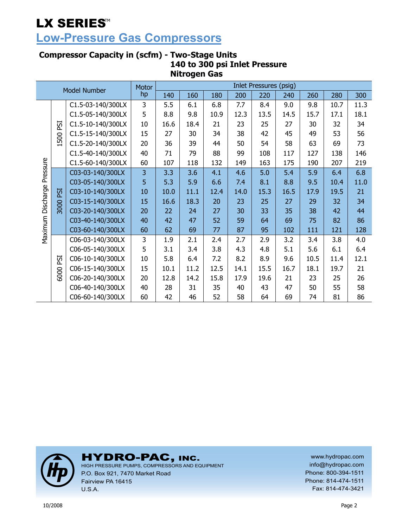# **Low-Pressure Gas Compressors**

### **Compressor Capacity in (scfm) - Two-Stage Units 140 to 300 psi Inlet Pressure Nitrogen Gas**

|                   |      |                     | Motor |      |      |      |      | <b>Inlet Pressures (psig)</b> |      |      |      |      |
|-------------------|------|---------------------|-------|------|------|------|------|-------------------------------|------|------|------|------|
|                   |      | <b>Model Number</b> | hp    | 140  | 160  | 180  | 200  | 220                           | 240  | 260  | 280  | 300  |
|                   |      | C1.5-03-140/300LX   | 3     | 5.5  | 6.1  | 6.8  | 7.7  | 8.4                           | 9.0  | 9.8  | 10.7 | 11.3 |
|                   |      | C1.5-05-140/300LX   | 5     | 8.8  | 9.8  | 10.9 | 12.3 | 13.5                          | 14.5 | 15.7 | 17.1 | 18.1 |
|                   | ESI  | C1.5-10-140/300LX   | 10    | 16.6 | 18.4 | 21   | 23   | 25                            | 27   | 30   | 32   | 34   |
|                   |      | C1.5-15-140/300LX   | 15    | 27   | 30   | 34   | 38   | 42                            | 45   | 49   | 53   | 56   |
|                   | 1500 | C1.5-20-140/300LX   | 20    | 36   | 39   | 44   | 50   | 54                            | 58   | 63   | 69   | 73   |
|                   |      | C1.5-40-140/300LX   | 40    | 71   | 79   | 88   | 99   | 108                           | 117  | 127  | 138  | 146  |
|                   |      | C1.5-60-140/300LX   | 60    | 107  | 118  | 132  | 149  | 163                           | 175  | 190  | 207  | 219  |
| Pressure          | ESI  | C03-03-140/300LX    | 3     | 3.3  | 3.6  | 4.1  | 4.6  | 5.0                           | 5.4  | 5.9  | 6.4  | 6.8  |
|                   |      | C03-05-140/300LX    | 5     | 5.3  | 5.9  | 6.6  | 7.4  | 8.1                           | 8.8  | 9.5  | 10.4 | 11.0 |
|                   |      | C03-10-140/300LX    | 10    | 10.0 | 11.1 | 12.4 | 14.0 | 15.3                          | 16.5 | 17.9 | 19.5 | 21   |
|                   | 3000 | C03-15-140/300LX    | 15    | 16.6 | 18.3 | 20   | 23   | 25                            | 27   | 29   | 32   | 34   |
|                   |      | C03-20-140/300LX    | 20    | 22   | 24   | 27   | 30   | 33                            | 35   | 38   | 42   | 44   |
|                   |      | C03-40-140/300LX    | 40    | 42   | 47   | 52   | 59   | 64                            | 69   | 75   | 82   | 86   |
| Maximum Discharge |      | C03-60-140/300LX    | 60    | 62   | 69   | 77   | 87   | 95                            | 102  | 111  | 121  | 128  |
|                   |      | C06-03-140/300LX    | 3     | 1.9  | 2.1  | 2.4  | 2.7  | 2.9                           | 3.2  | 3.4  | 3.8  | 4.0  |
|                   |      | C06-05-140/300LX    | 5     | 3.1  | 3.4  | 3.8  | 4.3  | 4.8                           | 5.1  | 5.6  | 6.1  | 6.4  |
|                   | ESI  | C06-10-140/300LX    | 10    | 5.8  | 6.4  | 7.2  | 8.2  | 8.9                           | 9.6  | 10.5 | 11.4 | 12.1 |
|                   | 6000 | C06-15-140/300LX    | 15    | 10.1 | 11.2 | 12.5 | 14.1 | 15.5                          | 16.7 | 18.1 | 19.7 | 21   |
|                   |      | C06-20-140/300LX    | 20    | 12.8 | 14.2 | 15.8 | 17.9 | 19.6                          | 21   | 23   | 25   | 26   |
|                   |      | C06-40-140/300LX    | 40    | 28   | 31   | 35   | 40   | 43                            | 47   | 50   | 55   | 58   |
|                   |      | C06-60-140/300LX    | 60    | 42   | 46   | 52   | 58   | 64                            | 69   | 74   | 81   | 86   |



# HYDRO-PAC, INC. HIGH PRESSURE PUMPS, COMPRESSORS AND EQUIPMENT

P.O. Box 921, 7470 Market Road Fairview PA 16415 U.S.A.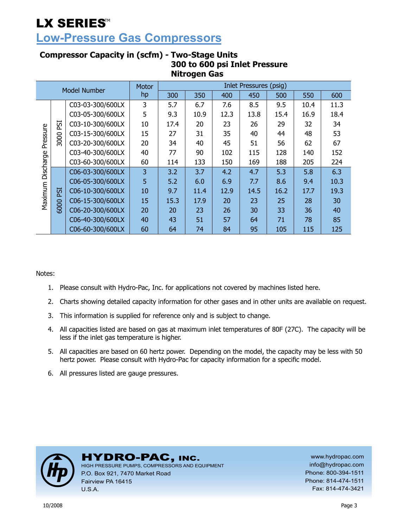### **Low-Pressure Gas Compressors**

|           | ma vyen vas |                     |       |      |      |      |                        |      |      |      |  |  |  |
|-----------|-------------|---------------------|-------|------|------|------|------------------------|------|------|------|--|--|--|
|           |             | <b>Model Number</b> | Motor |      |      |      | Inlet Pressures (psig) |      |      |      |  |  |  |
|           |             |                     | hp    | 300  | 350  | 400  | 450                    | 500  | 550  | 600  |  |  |  |
|           |             | C03-03-300/600LX    | 3     | 5.7  | 6.7  | 7.6  | 8.5                    | 9.5  | 10.4 | 11.3 |  |  |  |
|           |             | C03-05-300/600LX    | 5     | 9.3  | 10.9 | 12.3 | 13.8                   | 15.4 | 16.9 | 18.4 |  |  |  |
|           | ESI         | C03-10-300/600LX    | 10    | 17.4 | 20   | 23   | 26                     | 29   | 32   | 34   |  |  |  |
|           |             | C03-15-300/600LX    | 15    | 27   | 31   | 35   | 40                     | 44   | 48   | 53   |  |  |  |
| Pressure  | 3000        | C03-20-300/600LX    | 20    | 34   | 40   | 45   | 51                     | 56   | 62   | 67   |  |  |  |
|           |             | C03-40-300/600LX    | 40    | 77   | 90   | 102  | 115                    | 128  | 140  | 152  |  |  |  |
|           |             | C03-60-300/600LX    | 60    | 114  | 133  | 150  | 169                    | 188  | 205  | 224  |  |  |  |
| Discharge |             | C06-03-300/600LX    | 3     | 3.2  | 3.7  | 4.2  | 4.7                    | 5.3  | 5.8  | 6.3  |  |  |  |
|           |             | C06-05-300/600LX    | 5     | 5.2  | 6.0  | 6.9  | 7.7                    | 8.6  | 9.4  | 10.3 |  |  |  |
| Maximum   | <b>ESI</b>  | C06-10-300/600LX    | 10    | 9.7  | 11.4 | 12.9 | 14.5                   | 16.2 | 17.7 | 19.3 |  |  |  |
|           |             | C06-15-300/600LX    | 15    | 15.3 | 17.9 | 20   | 23                     | 25   | 28   | 30   |  |  |  |
|           | 6000        | C06-20-300/600LX    | 20    | 20   | 23   | 26   | 30                     | 33   | 36   | 40   |  |  |  |
|           |             | C06-40-300/600LX    | 40    | 43   | 51   | 57   | 64                     | 71   | 78   | 85   |  |  |  |
|           |             | C06-60-300/600LX    | 60    | 64   | 74   | 84   | 95                     | 105  | 115  | 125  |  |  |  |

### **Compressor Capacity in (scfm) - Two-Stage Units 300 to 600 psi Inlet Pressure Nitrogen Gas**

Notes:

- 1. Please consult with Hydro-Pac, Inc. for applications not covered by machines listed here.
- 2. Charts showing detailed capacity information for other gases and in other units are available on request.
- 3. This information is supplied for reference only and is subject to change.
- 4. All capacities listed are based on gas at maximum inlet temperatures of 80F (27C). The capacity will be less if the inlet gas temperature is higher.
- 5. All capacities are based on 60 hertz power. Depending on the model, the capacity may be less with 50 hertz power. Please consult with Hydro-Pac for capacity information for a specific model.
- 6. All pressures listed are gauge pressures.



### HYDRO-PAC, INC.

HIGH PRESSURE PUMPS, COMPRESSORS AND EQUIPMENT P.O. Box 921, 7470 Market Road Fairview PA 16415 U.S.A.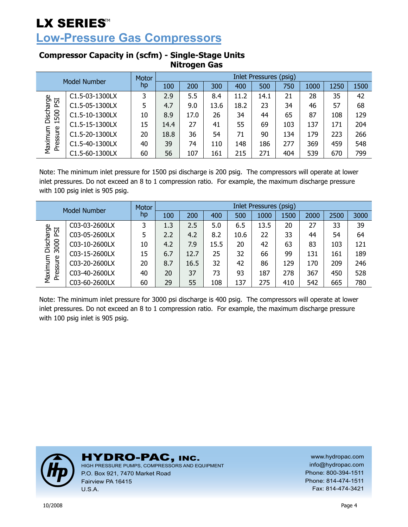**Low-Pressure Gas Compressors** 

| Model Number        |                | Motor | <b>Inlet Pressures (psig)</b> |      |      |      |      |     |      |      |      |  |
|---------------------|----------------|-------|-------------------------------|------|------|------|------|-----|------|------|------|--|
|                     |                | hp    | 100                           | 200  | 300  | 400  | 500  | 750 | 1000 | 1250 | 1500 |  |
|                     | C1.5-03-1300LX | 3     | 2.9                           | 5.5  | 8.4  | 11.2 | 14.1 | 21  | 28   | 35   | 42   |  |
| ESI                 | C1.5-05-1300LX | 5     | 4.7                           | 9.0  | 13.6 | 18.2 | 23   | 34  | 46   | 57   | 68   |  |
| Discharge<br>1500   | C1.5-10-1300LX | 10    | 8.9                           | 17.0 | 26   | 34   | 44   | 65  | 87   | 108  | 129  |  |
|                     | C1.5-15-1300LX | 15    | 14.4                          | 27   | 41   | 55   | 69   | 103 | 137  | 171  | 204  |  |
| Maximum<br>Pressure | C1.5-20-1300LX | 20    | 18.8                          | 36   | 54   | 71   | 90   | 134 | 179  | 223  | 266  |  |
|                     | C1.5-40-1300LX | 40    | 39                            | 74   | 110  | 148  | 186  | 277 | 369  | 459  | 548  |  |
|                     | C1.5-60-1300LX | 60    | 56                            | 107  | 161  | 215  | 271  | 404 | 539  | 670  | 799  |  |

### **Compressor Capacity in (scfm) - Single-Stage Units Nitrogen Gas**

Note: The minimum inlet pressure for 1500 psi discharge is 200 psig. The compressors will operate at lower inlet pressures. Do not exceed an 8 to 1 compression ratio. For example, the maximum discharge pressure with 100 psig inlet is 905 psig.

| Model Number       |               | Motor | Inlet Pressures (psig) |      |      |      |      |      |      |      |      |  |
|--------------------|---------------|-------|------------------------|------|------|------|------|------|------|------|------|--|
|                    |               | hp    | 100                    | 200  | 400  | 500  | 1000 | 1500 | 2000 | 2500 | 3000 |  |
|                    | C03-03-2600LX | 3     | 1.3                    | 2.5  | 5.0  | 6.5  | 13.5 | 20   | 27   | 33   | 39   |  |
| ESI                | C03-05-2600LX | 5     | 2.2                    | 4.2  | 8.2  | 10.6 | 22   | 33   | 44   | 54   | 64   |  |
| Discharge<br>3000  | C03-10-2600LX | 10    | 4.2                    | 7.9  | 15.5 | 20   | 42   | 63   | 83   | 103  | 121  |  |
|                    | C03-15-2600LX | 15    | 6.7                    | 12.7 | 25   | 32   | 66   | 99   | 131  | 161  | 189  |  |
| Maximum<br>ressure | C03-20-2600LX | 20    | 8.7                    | 16.5 | 32   | 42   | 86   | 129  | 170  | 209  | 246  |  |
|                    | C03-40-2600LX | 40    | 20                     | 37   | 73   | 93   | 187  | 278  | 367  | 450  | 528  |  |
| ā                  | C03-60-2600LX | 60    | 29                     | 55   | 108  | 137  | 275  | 410  | 542  | 665  | 780  |  |

Note: The minimum inlet pressure for 3000 psi discharge is 400 psig. The compressors will operate at lower inlet pressures. Do not exceed an 8 to 1 compression ratio. For example, the maximum discharge pressure with 100 psig inlet is 905 psig.



HYDRO-PAC, INC.

HIGH PRESSURE PUMPS, COMPRESSORS AND EQUIPMENT P.O. Box 921, 7470 Market Road Fairview PA 16415 U.S.A.